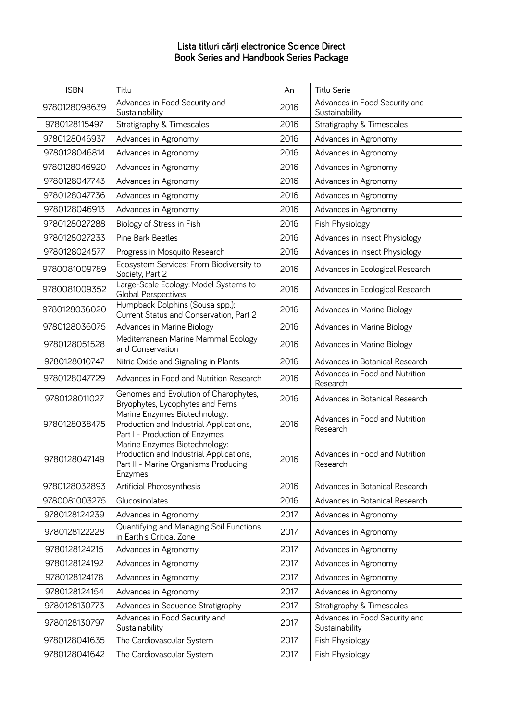## Lista titluri cărți electronice Science Direct Book Series and Handbook Series Package

| <b>ISBN</b>   | Titlu                                                                                                                       | An   | Titlu Serie                                     |
|---------------|-----------------------------------------------------------------------------------------------------------------------------|------|-------------------------------------------------|
| 9780128098639 | Advances in Food Security and<br>Sustainability                                                                             | 2016 | Advances in Food Security and<br>Sustainability |
| 9780128115497 | Stratigraphy & Timescales                                                                                                   | 2016 | Stratigraphy & Timescales                       |
| 9780128046937 | Advances in Agronomy                                                                                                        | 2016 | Advances in Agronomy                            |
| 9780128046814 | Advances in Agronomy                                                                                                        | 2016 | Advances in Agronomy                            |
| 9780128046920 | Advances in Agronomy                                                                                                        | 2016 | Advances in Agronomy                            |
| 9780128047743 | Advances in Agronomy                                                                                                        | 2016 | Advances in Agronomy                            |
| 9780128047736 | Advances in Agronomy                                                                                                        | 2016 | Advances in Agronomy                            |
| 9780128046913 | Advances in Agronomy                                                                                                        | 2016 | Advances in Agronomy                            |
| 9780128027288 | Biology of Stress in Fish                                                                                                   | 2016 | Fish Physiology                                 |
| 9780128027233 | Pine Bark Beetles                                                                                                           | 2016 | Advances in Insect Physiology                   |
| 9780128024577 | Progress in Mosquito Research                                                                                               | 2016 | Advances in Insect Physiology                   |
| 9780081009789 | Ecosystem Services: From Biodiversity to<br>Society, Part 2                                                                 | 2016 | Advances in Ecological Research                 |
| 9780081009352 | Large-Scale Ecology: Model Systems to<br><b>Global Perspectives</b>                                                         | 2016 | Advances in Ecological Research                 |
| 9780128036020 | Humpback Dolphins (Sousa spp.):<br>Current Status and Conservation, Part 2                                                  | 2016 | Advances in Marine Biology                      |
| 9780128036075 | Advances in Marine Biology                                                                                                  | 2016 | Advances in Marine Biology                      |
| 9780128051528 | Mediterranean Marine Mammal Ecology<br>and Conservation                                                                     | 2016 | Advances in Marine Biology                      |
| 9780128010747 | Nitric Oxide and Signaling in Plants                                                                                        | 2016 | Advances in Botanical Research                  |
| 9780128047729 | Advances in Food and Nutrition Research                                                                                     | 2016 | Advances in Food and Nutrition<br>Research      |
| 9780128011027 | Genomes and Evolution of Charophytes,<br>Bryophytes, Lycophytes and Ferns                                                   | 2016 | Advances in Botanical Research                  |
| 9780128038475 | Marine Enzymes Biotechnology:<br>Production and Industrial Applications,<br>Part I - Production of Enzymes                  | 2016 | Advances in Food and Nutrition<br>Research      |
| 9780128047149 | Marine Enzymes Biotechnology:<br>Production and Industrial Applications,<br>Part II - Marine Organisms Producing<br>Enzymes | 2016 | Advances in Food and Nutrition<br>Research      |
| 9780128032893 | Artificial Photosynthesis                                                                                                   | 2016 | Advances in Botanical Research                  |
| 9780081003275 | Glucosinolates                                                                                                              | 2016 | Advances in Botanical Research                  |
| 9780128124239 | Advances in Agronomy                                                                                                        | 2017 | Advances in Agronomy                            |
| 9780128122228 | Quantifying and Managing Soil Functions<br>in Earth's Critical Zone                                                         | 2017 | Advances in Agronomy                            |
| 9780128124215 | Advances in Agronomy                                                                                                        | 2017 | Advances in Agronomy                            |
| 9780128124192 | Advances in Agronomy                                                                                                        | 2017 | Advances in Agronomy                            |
| 9780128124178 | Advances in Agronomy                                                                                                        | 2017 | Advances in Agronomy                            |
| 9780128124154 | Advances in Agronomy                                                                                                        | 2017 | Advances in Agronomy                            |
| 9780128130773 | Advances in Sequence Stratigraphy                                                                                           | 2017 | Stratigraphy & Timescales                       |
| 9780128130797 | Advances in Food Security and<br>Sustainability                                                                             | 2017 | Advances in Food Security and<br>Sustainability |
| 9780128041635 | The Cardiovascular System                                                                                                   | 2017 | Fish Physiology                                 |
| 9780128041642 | The Cardiovascular System                                                                                                   | 2017 | Fish Physiology                                 |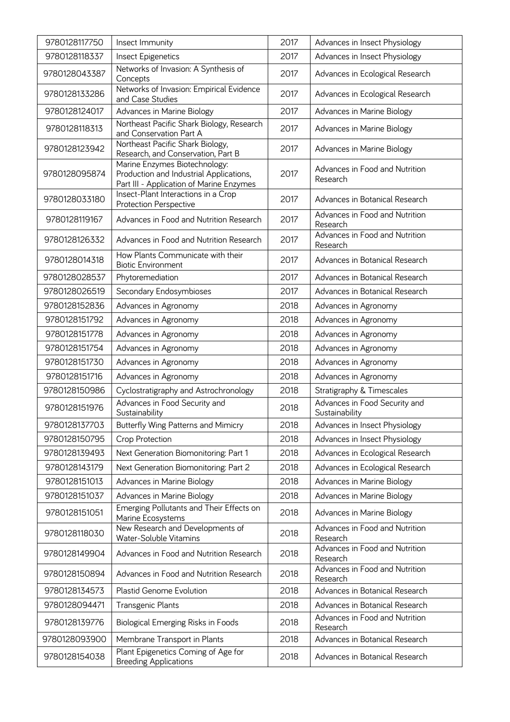| 9780128117750 | Insect Immunity                                                                                                      | 2017 | Advances in Insect Physiology                   |
|---------------|----------------------------------------------------------------------------------------------------------------------|------|-------------------------------------------------|
| 9780128118337 | Insect Epigenetics                                                                                                   | 2017 | Advances in Insect Physiology                   |
| 9780128043387 | Networks of Invasion: A Synthesis of<br>Concepts                                                                     | 2017 | Advances in Ecological Research                 |
| 9780128133286 | Networks of Invasion: Empirical Evidence<br>and Case Studies                                                         | 2017 | Advances in Ecological Research                 |
| 9780128124017 | Advances in Marine Biology                                                                                           | 2017 | Advances in Marine Biology                      |
| 9780128118313 | Northeast Pacific Shark Biology, Research<br>and Conservation Part A                                                 | 2017 | Advances in Marine Biology                      |
| 9780128123942 | Northeast Pacific Shark Biology,<br>Research, and Conservation, Part B                                               | 2017 | Advances in Marine Biology                      |
| 9780128095874 | Marine Enzymes Biotechnology:<br>Production and Industrial Applications,<br>Part III - Application of Marine Enzymes | 2017 | Advances in Food and Nutrition<br>Research      |
| 9780128033180 | Insect-Plant Interactions in a Crop<br><b>Protection Perspective</b>                                                 | 2017 | Advances in Botanical Research                  |
| 9780128119167 | Advances in Food and Nutrition Research                                                                              | 2017 | Advances in Food and Nutrition<br>Research      |
| 9780128126332 | Advances in Food and Nutrition Research                                                                              | 2017 | Advances in Food and Nutrition<br>Research      |
| 9780128014318 | How Plants Communicate with their<br><b>Biotic Environment</b>                                                       | 2017 | Advances in Botanical Research                  |
| 9780128028537 | Phytoremediation                                                                                                     | 2017 | Advances in Botanical Research                  |
| 9780128026519 | Secondary Endosymbioses                                                                                              | 2017 | Advances in Botanical Research                  |
| 9780128152836 | Advances in Agronomy                                                                                                 | 2018 | Advances in Agronomy                            |
| 9780128151792 | Advances in Agronomy                                                                                                 | 2018 | Advances in Agronomy                            |
| 9780128151778 | Advances in Agronomy                                                                                                 | 2018 | Advances in Agronomy                            |
| 9780128151754 | Advances in Agronomy                                                                                                 | 2018 | Advances in Agronomy                            |
| 9780128151730 | Advances in Agronomy                                                                                                 | 2018 | Advances in Agronomy                            |
| 9780128151716 | Advances in Agronomy                                                                                                 | 2018 | Advances in Agronomy                            |
| 9780128150986 | Cyclostratigraphy and Astrochronology                                                                                | 2018 | Stratigraphy & Timescales                       |
| 9780128151976 | Advances in Food Security and<br>Sustainability                                                                      | 2018 | Advances in Food Security and<br>Sustainability |
| 9780128137703 | Butterfly Wing Patterns and Mimicry                                                                                  | 2018 | Advances in Insect Physiology                   |
| 9780128150795 | Crop Protection                                                                                                      | 2018 | Advances in Insect Physiology                   |
| 9780128139493 | Next Generation Biomonitoring: Part 1                                                                                | 2018 | Advances in Ecological Research                 |
| 9780128143179 | Next Generation Biomonitoring: Part 2                                                                                | 2018 | Advances in Ecological Research                 |
| 9780128151013 | Advances in Marine Biology                                                                                           | 2018 | Advances in Marine Biology                      |
| 9780128151037 | Advances in Marine Biology                                                                                           | 2018 | Advances in Marine Biology                      |
| 9780128151051 | Emerging Pollutants and Their Effects on<br>Marine Ecosystems                                                        | 2018 | Advances in Marine Biology                      |
| 9780128118030 | New Research and Developments of<br>Water-Soluble Vitamins                                                           | 2018 | Advances in Food and Nutrition<br>Research      |
| 9780128149904 | Advances in Food and Nutrition Research                                                                              | 2018 | Advances in Food and Nutrition<br>Research      |
| 9780128150894 | Advances in Food and Nutrition Research                                                                              | 2018 | Advances in Food and Nutrition<br>Research      |
| 9780128134573 | <b>Plastid Genome Evolution</b>                                                                                      | 2018 | Advances in Botanical Research                  |
| 9780128094471 | <b>Transgenic Plants</b>                                                                                             | 2018 | Advances in Botanical Research                  |
| 9780128139776 | Biological Emerging Risks in Foods                                                                                   | 2018 | Advances in Food and Nutrition<br>Research      |
| 9780128093900 | Membrane Transport in Plants                                                                                         | 2018 | Advances in Botanical Research                  |
| 9780128154038 | Plant Epigenetics Coming of Age for<br><b>Breeding Applications</b>                                                  | 2018 | Advances in Botanical Research                  |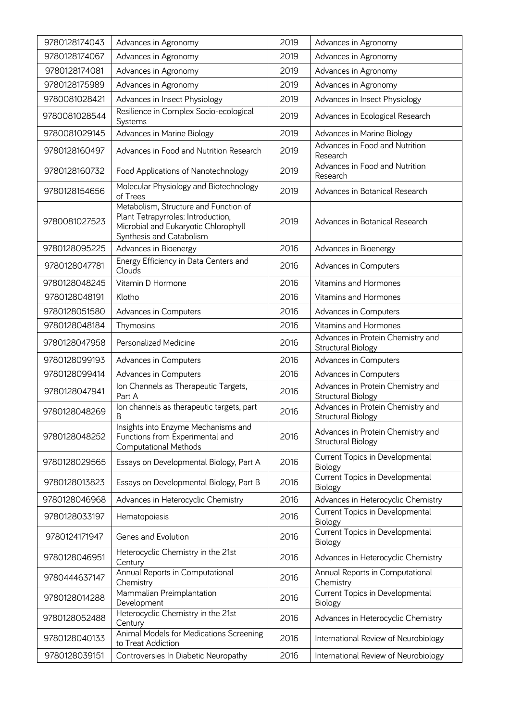| 9780128174043 | Advances in Agronomy                                                                                                                            | 2019 | Advances in Agronomy                                    |
|---------------|-------------------------------------------------------------------------------------------------------------------------------------------------|------|---------------------------------------------------------|
| 9780128174067 | Advances in Agronomy                                                                                                                            | 2019 | Advances in Agronomy                                    |
| 9780128174081 | Advances in Agronomy                                                                                                                            | 2019 | Advances in Agronomy                                    |
| 9780128175989 | Advances in Agronomy                                                                                                                            | 2019 | Advances in Agronomy                                    |
| 9780081028421 | Advances in Insect Physiology                                                                                                                   | 2019 | Advances in Insect Physiology                           |
| 9780081028544 | Resilience in Complex Socio-ecological<br>Systems                                                                                               | 2019 | Advances in Ecological Research                         |
| 9780081029145 | Advances in Marine Biology                                                                                                                      | 2019 | Advances in Marine Biology                              |
| 9780128160497 | Advances in Food and Nutrition Research                                                                                                         | 2019 | Advances in Food and Nutrition<br>Research              |
| 9780128160732 | Food Applications of Nanotechnology                                                                                                             | 2019 | Advances in Food and Nutrition<br>Research              |
| 9780128154656 | Molecular Physiology and Biotechnology<br>of Trees                                                                                              | 2019 | Advances in Botanical Research                          |
| 9780081027523 | Metabolism, Structure and Function of<br>Plant Tetrapyrroles: Introduction,<br>Microbial and Eukaryotic Chlorophyll<br>Synthesis and Catabolism | 2019 | Advances in Botanical Research                          |
| 9780128095225 | Advances in Bioenergy                                                                                                                           | 2016 | Advances in Bioenergy                                   |
| 9780128047781 | Energy Efficiency in Data Centers and<br>Clouds                                                                                                 | 2016 | Advances in Computers                                   |
| 9780128048245 | Vitamin D Hormone                                                                                                                               | 2016 | Vitamins and Hormones                                   |
| 9780128048191 | Klotho                                                                                                                                          | 2016 | Vitamins and Hormones                                   |
| 9780128051580 | Advances in Computers                                                                                                                           | 2016 | Advances in Computers                                   |
| 9780128048184 | Thymosins                                                                                                                                       | 2016 | Vitamins and Hormones                                   |
| 9780128047958 | Personalized Medicine                                                                                                                           | 2016 | Advances in Protein Chemistry and<br>Structural Biology |
| 9780128099193 | Advances in Computers                                                                                                                           | 2016 | Advances in Computers                                   |
| 9780128099414 | Advances in Computers                                                                                                                           | 2016 | Advances in Computers                                   |
| 9780128047941 | Ion Channels as Therapeutic Targets,<br>Part A                                                                                                  | 2016 | Advances in Protein Chemistry and<br>Structural Biology |
| 9780128048269 | Ion channels as therapeutic targets, part<br>B                                                                                                  | 2016 | Advances in Protein Chemistry and<br>Structural Biology |
| 9780128048252 | Insights into Enzyme Mechanisms and<br>Functions from Experimental and<br>Computational Methods                                                 | 2016 | Advances in Protein Chemistry and<br>Structural Biology |
| 9780128029565 | Essays on Developmental Biology, Part A                                                                                                         | 2016 | Current Topics in Developmental<br><b>Biology</b>       |
| 9780128013823 | Essays on Developmental Biology, Part B                                                                                                         | 2016 | Current Topics in Developmental<br>Biology              |
| 9780128046968 | Advances in Heterocyclic Chemistry                                                                                                              | 2016 | Advances in Heterocyclic Chemistry                      |
| 9780128033197 | Hematopoiesis                                                                                                                                   | 2016 | Current Topics in Developmental<br>Biology              |
| 9780124171947 | Genes and Evolution                                                                                                                             | 2016 | Current Topics in Developmental<br>Biology              |
| 9780128046951 | Heterocyclic Chemistry in the 21st<br>Century                                                                                                   | 2016 | Advances in Heterocyclic Chemistry                      |
| 9780444637147 | Annual Reports in Computational<br>Chemistry                                                                                                    | 2016 | Annual Reports in Computational<br>Chemistry            |
| 9780128014288 | Mammalian Preimplantation<br>Development                                                                                                        | 2016 | Current Topics in Developmental<br>Biology              |
| 9780128052488 | Heterocyclic Chemistry in the 21st<br>Century                                                                                                   | 2016 | Advances in Heterocyclic Chemistry                      |
| 9780128040133 | Animal Models for Medications Screening<br>to Treat Addiction                                                                                   | 2016 | International Review of Neurobiology                    |
| 9780128039151 | Controversies In Diabetic Neuropathy                                                                                                            | 2016 | International Review of Neurobiology                    |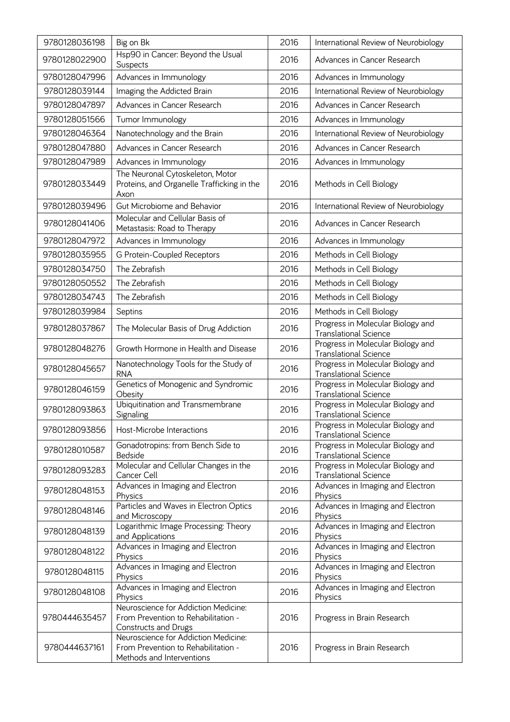| 9780128036198 | Big on Bk                                                                                                | 2016 | International Review of Neurobiology                              |
|---------------|----------------------------------------------------------------------------------------------------------|------|-------------------------------------------------------------------|
| 9780128022900 | Hsp90 in Cancer: Beyond the Usual<br>Suspects                                                            | 2016 | Advances in Cancer Research                                       |
| 9780128047996 | Advances in Immunology                                                                                   | 2016 | Advances in Immunology                                            |
| 9780128039144 | Imaging the Addicted Brain                                                                               | 2016 | International Review of Neurobiology                              |
| 9780128047897 | Advances in Cancer Research                                                                              | 2016 | Advances in Cancer Research                                       |
| 9780128051566 | Tumor Immunology                                                                                         | 2016 | Advances in Immunology                                            |
| 9780128046364 | Nanotechnology and the Brain                                                                             | 2016 | International Review of Neurobiology                              |
| 9780128047880 | Advances in Cancer Research                                                                              | 2016 | Advances in Cancer Research                                       |
| 9780128047989 | Advances in Immunology                                                                                   | 2016 | Advances in Immunology                                            |
| 9780128033449 | The Neuronal Cytoskeleton, Motor<br>Proteins, and Organelle Trafficking in the<br>Axon                   | 2016 | Methods in Cell Biology                                           |
| 9780128039496 | Gut Microbiome and Behavior                                                                              | 2016 | International Review of Neurobiology                              |
| 9780128041406 | Molecular and Cellular Basis of<br>Metastasis: Road to Therapy                                           | 2016 | Advances in Cancer Research                                       |
| 9780128047972 | Advances in Immunology                                                                                   | 2016 | Advances in Immunology                                            |
| 9780128035955 | G Protein-Coupled Receptors                                                                              | 2016 | Methods in Cell Biology                                           |
| 9780128034750 | The Zebrafish                                                                                            | 2016 | Methods in Cell Biology                                           |
| 9780128050552 | The Zebrafish                                                                                            | 2016 | Methods in Cell Biology                                           |
| 9780128034743 | The Zebrafish                                                                                            | 2016 | Methods in Cell Biology                                           |
| 9780128039984 | Septins                                                                                                  | 2016 | Methods in Cell Biology                                           |
| 9780128037867 | The Molecular Basis of Drug Addiction                                                                    | 2016 | Progress in Molecular Biology and<br><b>Translational Science</b> |
| 9780128048276 | Growth Hormone in Health and Disease                                                                     | 2016 | Progress in Molecular Biology and<br><b>Translational Science</b> |
| 9780128045657 | Nanotechnology Tools for the Study of<br><b>RNA</b>                                                      | 2016 | Progress in Molecular Biology and<br><b>Translational Science</b> |
| 9780128046159 | Genetics of Monogenic and Syndromic<br>Obesity                                                           | 2016 | Progress in Molecular Biology and<br><b>Translational Science</b> |
| 9780128093863 | Ubiquitination and Transmembrane<br>Signaling                                                            | 2016 | Progress in Molecular Biology and<br><b>Translational Science</b> |
| 9780128093856 | Host-Microbe Interactions                                                                                | 2016 | Progress in Molecular Biology and<br><b>Translational Science</b> |
| 9780128010587 | Gonadotropins: from Bench Side to<br>Bedside                                                             | 2016 | Progress in Molecular Biology and<br><b>Translational Science</b> |
| 9780128093283 | Molecular and Cellular Changes in the<br>Cancer Cell                                                     | 2016 | Progress in Molecular Biology and<br><b>Translational Science</b> |
| 9780128048153 | Advances in Imaging and Electron<br>Physics                                                              | 2016 | Advances in Imaging and Electron<br>Physics                       |
| 9780128048146 | Particles and Waves in Electron Optics<br>and Microscopy                                                 | 2016 | Advances in Imaging and Electron<br>Physics                       |
| 9780128048139 | Logarithmic Image Processing: Theory<br>and Applications                                                 | 2016 | Advances in Imaging and Electron<br>Physics                       |
| 9780128048122 | Advances in Imaging and Electron<br>Physics                                                              | 2016 | Advances in Imaging and Electron<br>Physics                       |
| 9780128048115 | Advances in Imaging and Electron<br>Physics                                                              | 2016 | Advances in Imaging and Electron<br>Physics                       |
| 9780128048108 | Advances in Imaging and Electron<br>Physics                                                              | 2016 | Advances in Imaging and Electron<br>Physics                       |
| 9780444635457 | Neuroscience for Addiction Medicine:<br>From Prevention to Rehabilitation -<br>Constructs and Drugs      | 2016 | Progress in Brain Research                                        |
| 9780444637161 | Neuroscience for Addiction Medicine:<br>From Prevention to Rehabilitation -<br>Methods and Interventions | 2016 | Progress in Brain Research                                        |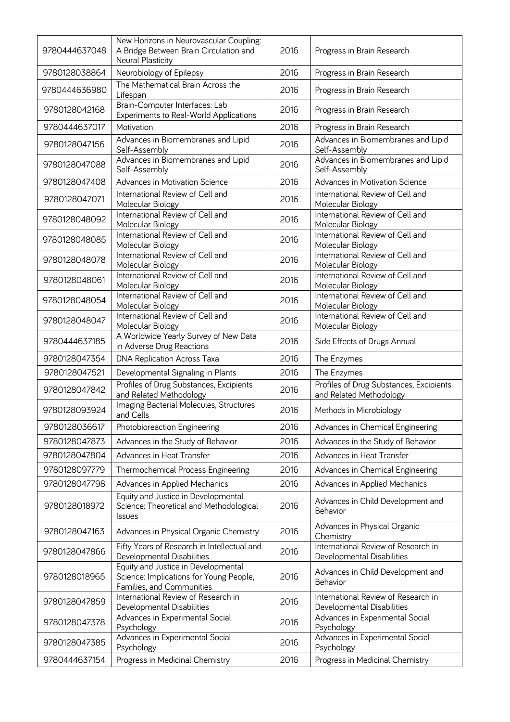| 9780444637048 | New Horizons in Neurovascular Coupling:<br>A Bridge Between Brain Circulation and<br>Neural Plasticity      | 2016 | Progress in Brain Research                                         |
|---------------|-------------------------------------------------------------------------------------------------------------|------|--------------------------------------------------------------------|
| 9780128038864 | Neurobiology of Epilepsy                                                                                    | 2016 | Progress in Brain Research                                         |
| 9780444636980 | The Mathematical Brain Across the<br>Lifespan                                                               | 2016 | Progress in Brain Research                                         |
| 9780128042168 | Brain-Computer Interfaces: Lab<br>Experiments to Real-World Applications                                    | 2016 | Progress in Brain Research                                         |
| 9780444637017 | Motivation                                                                                                  | 2016 | Progress in Brain Research                                         |
| 9780128047156 | Advances in Biomembranes and Lipid<br>Self-Assembly                                                         | 2016 | Advances in Biomembranes and Lipid<br>Self-Assembly                |
| 9780128047088 | Advances in Biomembranes and Lipid<br>Self-Assembly                                                         | 2016 | Advances in Biomembranes and Lipid<br>Self-Assembly                |
| 9780128047408 | Advances in Motivation Science                                                                              | 2016 | Advances in Motivation Science                                     |
| 9780128047071 | International Review of Cell and<br>Molecular Biology                                                       | 2016 | International Review of Cell and<br>Molecular Biology              |
| 9780128048092 | International Review of Cell and<br>Molecular Biology                                                       | 2016 | International Review of Cell and<br>Molecular Biology              |
| 9780128048085 | International Review of Cell and<br>Molecular Biology                                                       | 2016 | International Review of Cell and<br>Molecular Biology              |
| 9780128048078 | International Review of Cell and<br>Molecular Biology                                                       | 2016 | International Review of Cell and<br>Molecular Biology              |
| 9780128048061 | International Review of Cell and<br>Molecular Biology                                                       | 2016 | International Review of Cell and<br>Molecular Biology              |
| 9780128048054 | International Review of Cell and<br>Molecular Biology                                                       | 2016 | International Review of Cell and<br>Molecular Biology              |
| 9780128048047 | International Review of Cell and<br>Molecular Biology                                                       | 2016 | International Review of Cell and<br>Molecular Biology              |
| 9780444637185 | A Worldwide Yearly Survey of New Data<br>in Adverse Drug Reactions                                          | 2016 | Side Effects of Drugs Annual                                       |
| 9780128047354 | DNA Replication Across Taxa                                                                                 | 2016 | The Enzymes                                                        |
| 9780128047521 | Developmental Signaling in Plants                                                                           | 2016 | The Enzymes                                                        |
| 9780128047842 | Profiles of Drug Substances, Excipients<br>and Related Methodology                                          | 2016 | Profiles of Drug Substances, Excipients<br>and Related Methodology |
| 9780128093924 | Imaging Bacterial Molecules, Structures<br>and Cells                                                        | 2016 | Methods in Microbiology                                            |
| 9780128036617 | Photobioreaction Engineering                                                                                | 2016 | Advances in Chemical Engineering                                   |
| 9780128047873 | Advances in the Study of Behavior                                                                           | 2016 | Advances in the Study of Behavior                                  |
| 9780128047804 | Advances in Heat Transfer                                                                                   | 2016 | Advances in Heat Transfer                                          |
| 9780128097779 | Thermochemical Process Engineering                                                                          | 2016 | Advances in Chemical Engineering                                   |
| 9780128047798 | Advances in Applied Mechanics                                                                               | 2016 | Advances in Applied Mechanics                                      |
| 9780128018972 | Equity and Justice in Developmental<br>Science: Theoretical and Methodological<br>Issues                    | 2016 | Advances in Child Development and<br>Behavior                      |
| 9780128047163 | Advances in Physical Organic Chemistry                                                                      | 2016 | Advances in Physical Organic<br>Chemistry                          |
| 9780128047866 | Fifty Years of Research in Intellectual and<br>Developmental Disabilities                                   | 2016 | International Review of Research in<br>Developmental Disabilities  |
| 9780128018965 | Equity and Justice in Developmental<br>Science: Implications for Young People,<br>Families, and Communities | 2016 | Advances in Child Development and<br>Behavior                      |
| 9780128047859 | International Review of Research in<br>Developmental Disabilities                                           | 2016 | International Review of Research in<br>Developmental Disabilities  |
| 9780128047378 | Advances in Experimental Social<br>Psychology                                                               | 2016 | Advances in Experimental Social<br>Psychology                      |
| 9780128047385 | Advances in Experimental Social<br>Psychology                                                               | 2016 | Advances in Experimental Social<br>Psychology                      |
| 9780444637154 | Progress in Medicinal Chemistry                                                                             | 2016 | Progress in Medicinal Chemistry                                    |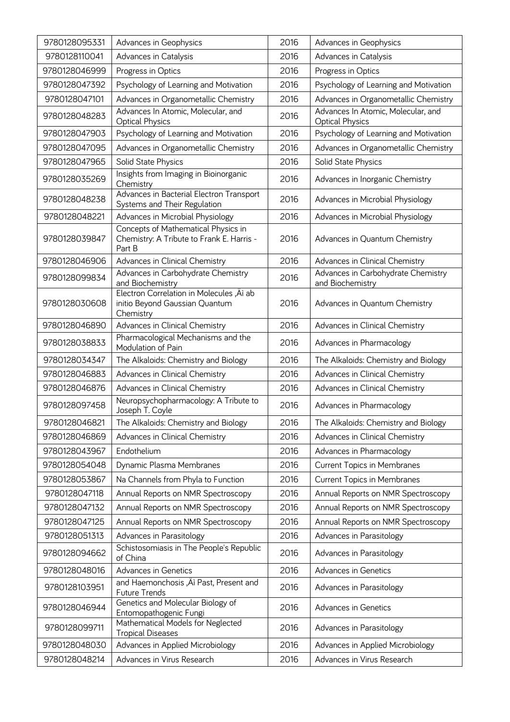| 9780128095331 | Advances in Geophysics                                                                     | 2016 | Advances in Geophysics                                       |
|---------------|--------------------------------------------------------------------------------------------|------|--------------------------------------------------------------|
| 9780128110041 | Advances in Catalysis                                                                      | 2016 | Advances in Catalysis                                        |
| 9780128046999 | Progress in Optics                                                                         | 2016 | Progress in Optics                                           |
| 9780128047392 | Psychology of Learning and Motivation                                                      | 2016 | Psychology of Learning and Motivation                        |
| 9780128047101 | Advances in Organometallic Chemistry                                                       | 2016 | Advances in Organometallic Chemistry                         |
| 9780128048283 | Advances In Atomic, Molecular, and<br><b>Optical Physics</b>                               | 2016 | Advances In Atomic, Molecular, and<br><b>Optical Physics</b> |
| 9780128047903 | Psychology of Learning and Motivation                                                      | 2016 | Psychology of Learning and Motivation                        |
| 9780128047095 | Advances in Organometallic Chemistry                                                       | 2016 | Advances in Organometallic Chemistry                         |
| 9780128047965 | Solid State Physics                                                                        | 2016 | Solid State Physics                                          |
| 9780128035269 | Insights from Imaging in Bioinorganic<br>Chemistry                                         | 2016 | Advances in Inorganic Chemistry                              |
| 9780128048238 | Advances in Bacterial Electron Transport<br>Systems and Their Regulation                   | 2016 | Advances in Microbial Physiology                             |
| 9780128048221 | Advances in Microbial Physiology                                                           | 2016 | Advances in Microbial Physiology                             |
| 9780128039847 | Concepts of Mathematical Physics in<br>Chemistry: A Tribute to Frank E. Harris -<br>Part B | 2016 | Advances in Quantum Chemistry                                |
| 9780128046906 | Advances in Clinical Chemistry                                                             | 2016 | Advances in Clinical Chemistry                               |
| 9780128099834 | Advances in Carbohydrate Chemistry<br>and Biochemistry                                     | 2016 | Advances in Carbohydrate Chemistry<br>and Biochemistry       |
| 9780128030608 | Electron Correlation in Molecules, Äì ab<br>initio Beyond Gaussian Quantum<br>Chemistry    | 2016 | Advances in Quantum Chemistry                                |
| 9780128046890 | Advances in Clinical Chemistry                                                             | 2016 | Advances in Clinical Chemistry                               |
| 9780128038833 | Pharmacological Mechanisms and the<br>Modulation of Pain                                   | 2016 | Advances in Pharmacology                                     |
| 9780128034347 | The Alkaloids: Chemistry and Biology                                                       | 2016 | The Alkaloids: Chemistry and Biology                         |
| 9780128046883 | Advances in Clinical Chemistry                                                             | 2016 | Advances in Clinical Chemistry                               |
| 9780128046876 | Advances in Clinical Chemistry                                                             | 2016 | Advances in Clinical Chemistry                               |
| 9780128097458 | Neuropsychopharmacology: A Tribute to<br>Joseph T. Coyle                                   | 2016 | Advances in Pharmacology                                     |
| 9780128046821 | The Alkaloids: Chemistry and Biology                                                       | 2016 | The Alkaloids: Chemistry and Biology                         |
| 9780128046869 | Advances in Clinical Chemistry                                                             | 2016 | Advances in Clinical Chemistry                               |
| 9780128043967 | Endothelium                                                                                | 2016 | Advances in Pharmacology                                     |
| 9780128054048 | Dynamic Plasma Membranes                                                                   | 2016 | <b>Current Topics in Membranes</b>                           |
| 9780128053867 | Na Channels from Phyla to Function                                                         | 2016 | <b>Current Topics in Membranes</b>                           |
| 9780128047118 | Annual Reports on NMR Spectroscopy                                                         | 2016 | Annual Reports on NMR Spectroscopy                           |
| 9780128047132 | Annual Reports on NMR Spectroscopy                                                         | 2016 | Annual Reports on NMR Spectroscopy                           |
| 9780128047125 | Annual Reports on NMR Spectroscopy                                                         | 2016 | Annual Reports on NMR Spectroscopy                           |
| 9780128051313 | Advances in Parasitology                                                                   | 2016 | Advances in Parasitology                                     |
| 9780128094662 | Schistosomiasis in The People's Republic<br>of China                                       | 2016 | Advances in Parasitology                                     |
| 9780128048016 | <b>Advances in Genetics</b>                                                                | 2016 | Advances in Genetics                                         |
| 9780128103951 | and Haemonchosis, Äì Past, Present and<br>Future Trends                                    | 2016 | Advances in Parasitology                                     |
| 9780128046944 | Genetics and Molecular Biology of<br>Entomopathogenic Fungi                                | 2016 | <b>Advances in Genetics</b>                                  |
| 9780128099711 | Mathematical Models for Neglected<br><b>Tropical Diseases</b>                              | 2016 | Advances in Parasitology                                     |
| 9780128048030 | Advances in Applied Microbiology                                                           | 2016 | Advances in Applied Microbiology                             |
| 9780128048214 | Advances in Virus Research                                                                 | 2016 | Advances in Virus Research                                   |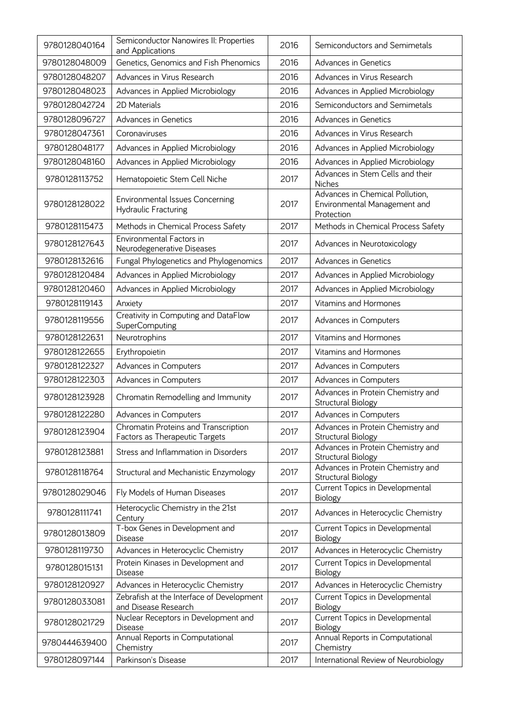| 9780128040164 | Semiconductor Nanowires II: Properties<br>and Applications             | 2016 | Semiconductors and Semimetals                                                 |
|---------------|------------------------------------------------------------------------|------|-------------------------------------------------------------------------------|
| 9780128048009 | Genetics, Genomics and Fish Phenomics                                  | 2016 | <b>Advances in Genetics</b>                                                   |
| 9780128048207 | Advances in Virus Research                                             | 2016 | Advances in Virus Research                                                    |
| 9780128048023 | Advances in Applied Microbiology                                       | 2016 | Advances in Applied Microbiology                                              |
| 9780128042724 | 2D Materials                                                           | 2016 | Semiconductors and Semimetals                                                 |
| 9780128096727 | <b>Advances in Genetics</b>                                            | 2016 | <b>Advances in Genetics</b>                                                   |
| 9780128047361 | Coronaviruses                                                          | 2016 | Advances in Virus Research                                                    |
| 9780128048177 | Advances in Applied Microbiology                                       | 2016 | Advances in Applied Microbiology                                              |
| 9780128048160 | Advances in Applied Microbiology                                       | 2016 | Advances in Applied Microbiology                                              |
| 9780128113752 | Hematopoietic Stem Cell Niche                                          | 2017 | Advances in Stem Cells and their<br>Niches                                    |
| 9780128128022 | <b>Environmental Issues Concerning</b><br>Hydraulic Fracturing         | 2017 | Advances in Chemical Pollution,<br>Environmental Management and<br>Protection |
| 9780128115473 | Methods in Chemical Process Safety                                     | 2017 | Methods in Chemical Process Safety                                            |
| 9780128127643 | Environmental Factors in<br>Neurodegenerative Diseases                 | 2017 | Advances in Neurotoxicology                                                   |
| 9780128132616 | Fungal Phylogenetics and Phylogenomics                                 | 2017 | <b>Advances in Genetics</b>                                                   |
| 9780128120484 | Advances in Applied Microbiology                                       | 2017 | Advances in Applied Microbiology                                              |
| 9780128120460 | Advances in Applied Microbiology                                       | 2017 | Advances in Applied Microbiology                                              |
| 9780128119143 | Anxiety                                                                | 2017 | Vitamins and Hormones                                                         |
| 9780128119556 | Creativity in Computing and DataFlow<br>SuperComputing                 | 2017 | Advances in Computers                                                         |
| 9780128122631 | Neurotrophins                                                          | 2017 | Vitamins and Hormones                                                         |
| 9780128122655 | Erythropoietin                                                         | 2017 | Vitamins and Hormones                                                         |
| 9780128122327 | Advances in Computers                                                  | 2017 | Advances in Computers                                                         |
| 9780128122303 | Advances in Computers                                                  | 2017 | Advances in Computers                                                         |
| 9780128123928 | Chromatin Remodelling and Immunity                                     | 2017 | Advances in Protein Chemistry and<br>Structural Biology                       |
| 9780128122280 | Advances in Computers                                                  | 2017 | Advances in Computers                                                         |
| 9780128123904 | Chromatin Proteins and Transcription<br>Factors as Therapeutic Targets | 2017 | Advances in Protein Chemistry and<br>Structural Biology                       |
| 9780128123881 | Stress and Inflammation in Disorders                                   | 2017 | Advances in Protein Chemistry and<br>Structural Biology                       |
| 9780128118764 | Structural and Mechanistic Enzymology                                  | 2017 | Advances in Protein Chemistry and<br>Structural Biology                       |
| 9780128029046 | Fly Models of Human Diseases                                           | 2017 | Current Topics in Developmental<br>Biology                                    |
| 9780128111741 | Heterocyclic Chemistry in the 21st<br>Century                          | 2017 | Advances in Heterocyclic Chemistry                                            |
| 9780128013809 | T-box Genes in Development and<br><b>Disease</b>                       | 2017 | Current Topics in Developmental<br>Biology                                    |
| 9780128119730 | Advances in Heterocyclic Chemistry                                     | 2017 | Advances in Heterocyclic Chemistry                                            |
| 9780128015131 | Protein Kinases in Development and<br><b>Disease</b>                   | 2017 | Current Topics in Developmental<br>Biology                                    |
| 9780128120927 | Advances in Heterocyclic Chemistry                                     | 2017 | Advances in Heterocyclic Chemistry                                            |
| 9780128033081 | Zebrafish at the Interface of Development<br>and Disease Research      | 2017 | Current Topics in Developmental<br>Biology                                    |
| 9780128021729 | Nuclear Receptors in Development and<br><b>Disease</b>                 | 2017 | Current Topics in Developmental<br>Biology                                    |
| 9780444639400 | Annual Reports in Computational<br>Chemistry                           | 2017 | Annual Reports in Computational<br>Chemistry                                  |
| 9780128097144 | Parkinson's Disease                                                    | 2017 | International Review of Neurobiology                                          |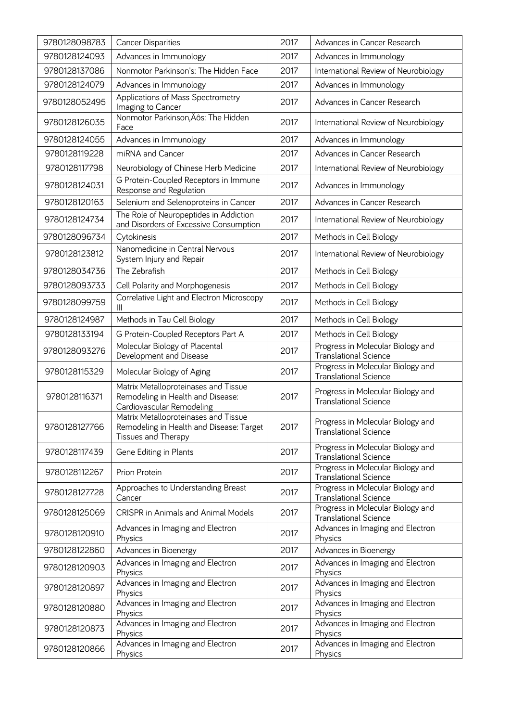| 9780128098783 | <b>Cancer Disparities</b>                                                                               | 2017 | Advances in Cancer Research                                       |
|---------------|---------------------------------------------------------------------------------------------------------|------|-------------------------------------------------------------------|
| 9780128124093 | Advances in Immunology                                                                                  | 2017 | Advances in Immunology                                            |
| 9780128137086 | Nonmotor Parkinson's: The Hidden Face                                                                   | 2017 | International Review of Neurobiology                              |
| 9780128124079 | Advances in Immunology                                                                                  | 2017 | Advances in Immunology                                            |
| 9780128052495 | Applications of Mass Spectrometry<br>Imaging to Cancer                                                  | 2017 | Advances in Cancer Research                                       |
| 9780128126035 | Nonmotor Parkinson, Äôs: The Hidden<br>Face                                                             | 2017 | International Review of Neurobiology                              |
| 9780128124055 | Advances in Immunology                                                                                  | 2017 | Advances in Immunology                                            |
| 9780128119228 | miRNA and Cancer                                                                                        | 2017 | Advances in Cancer Research                                       |
| 9780128117798 | Neurobiology of Chinese Herb Medicine                                                                   | 2017 | International Review of Neurobiology                              |
| 9780128124031 | G Protein-Coupled Receptors in Immune<br>Response and Regulation                                        | 2017 | Advances in Immunology                                            |
| 9780128120163 | Selenium and Selenoproteins in Cancer                                                                   | 2017 | Advances in Cancer Research                                       |
| 9780128124734 | The Role of Neuropeptides in Addiction<br>and Disorders of Excessive Consumption                        | 2017 | International Review of Neurobiology                              |
| 9780128096734 | Cytokinesis                                                                                             | 2017 | Methods in Cell Biology                                           |
| 9780128123812 | Nanomedicine in Central Nervous<br>System Injury and Repair                                             | 2017 | International Review of Neurobiology                              |
| 9780128034736 | The Zebrafish                                                                                           | 2017 | Methods in Cell Biology                                           |
| 9780128093733 | Cell Polarity and Morphogenesis                                                                         | 2017 | Methods in Cell Biology                                           |
| 9780128099759 | Correlative Light and Electron Microscopy<br>Ш                                                          | 2017 | Methods in Cell Biology                                           |
| 9780128124987 | Methods in Tau Cell Biology                                                                             | 2017 | Methods in Cell Biology                                           |
| 9780128133194 | G Protein-Coupled Receptors Part A                                                                      | 2017 | Methods in Cell Biology                                           |
| 9780128093276 | Molecular Biology of Placental<br>Development and Disease                                               | 2017 | Progress in Molecular Biology and<br><b>Translational Science</b> |
| 9780128115329 | Molecular Biology of Aging                                                                              | 2017 | Progress in Molecular Biology and<br><b>Translational Science</b> |
| 9780128116371 | Matrix Metalloproteinases and Tissue<br>Remodeling in Health and Disease:<br>Cardiovascular Remodeling  | 2017 | Progress in Molecular Biology and<br><b>Translational Science</b> |
| 9780128127766 | Matrix Metalloproteinases and Tissue<br>Remodeling in Health and Disease: Target<br>Tissues and Therapy | 2017 | Progress in Molecular Biology and<br><b>Translational Science</b> |
| 9780128117439 | Gene Editing in Plants                                                                                  | 2017 | Progress in Molecular Biology and<br><b>Translational Science</b> |
| 9780128112267 | Prion Protein                                                                                           | 2017 | Progress in Molecular Biology and<br><b>Translational Science</b> |
| 9780128127728 | Approaches to Understanding Breast<br>Cancer                                                            | 2017 | Progress in Molecular Biology and<br><b>Translational Science</b> |
| 9780128125069 | <b>CRISPR in Animals and Animal Models</b>                                                              | 2017 | Progress in Molecular Biology and<br><b>Translational Science</b> |
| 9780128120910 | Advances in Imaging and Electron<br>Physics                                                             | 2017 | Advances in Imaging and Electron<br>Physics                       |
| 9780128122860 | Advances in Bioenergy                                                                                   | 2017 | Advances in Bioenergy                                             |
| 9780128120903 | Advances in Imaging and Electron<br>Physics                                                             | 2017 | Advances in Imaging and Electron<br>Physics                       |
| 9780128120897 | Advances in Imaging and Electron<br>Physics                                                             | 2017 | Advances in Imaging and Electron<br>Physics                       |
| 9780128120880 | Advances in Imaging and Electron<br>Physics                                                             | 2017 | Advances in Imaging and Electron<br>Physics                       |
| 9780128120873 | Advances in Imaging and Electron<br>Physics                                                             | 2017 | Advances in Imaging and Electron<br>Physics                       |
| 9780128120866 | Advances in Imaging and Electron<br>Physics                                                             | 2017 | Advances in Imaging and Electron<br>Physics                       |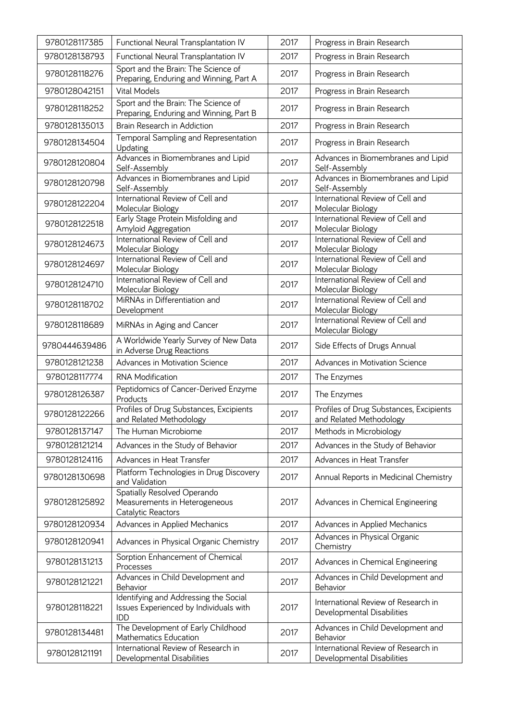| 9780128117385 | Functional Neural Transplantation IV                                                          | 2017 | Progress in Brain Research                                         |
|---------------|-----------------------------------------------------------------------------------------------|------|--------------------------------------------------------------------|
| 9780128138793 | Functional Neural Transplantation IV                                                          | 2017 | Progress in Brain Research                                         |
| 9780128118276 | Sport and the Brain: The Science of<br>Preparing, Enduring and Winning, Part A                | 2017 | Progress in Brain Research                                         |
| 9780128042151 | <b>Vital Models</b>                                                                           | 2017 | Progress in Brain Research                                         |
| 9780128118252 | Sport and the Brain: The Science of<br>Preparing, Enduring and Winning, Part B                | 2017 | Progress in Brain Research                                         |
| 9780128135013 | Brain Research in Addiction                                                                   | 2017 | Progress in Brain Research                                         |
| 9780128134504 | Temporal Sampling and Representation<br>Updating                                              | 2017 | Progress in Brain Research                                         |
| 9780128120804 | Advances in Biomembranes and Lipid<br>Self-Assembly                                           | 2017 | Advances in Biomembranes and Lipid<br>Self-Assembly                |
| 9780128120798 | Advances in Biomembranes and Lipid<br>Self-Assembly                                           | 2017 | Advances in Biomembranes and Lipid<br>Self-Assembly                |
| 9780128122204 | International Review of Cell and<br>Molecular Biology                                         | 2017 | International Review of Cell and<br>Molecular Biology              |
| 9780128122518 | Early Stage Protein Misfolding and<br>Amyloid Aggregation                                     | 2017 | International Review of Cell and<br>Molecular Biology              |
| 9780128124673 | International Review of Cell and<br>Molecular Biology                                         | 2017 | International Review of Cell and<br>Molecular Biology              |
| 9780128124697 | International Review of Cell and<br>Molecular Biology                                         | 2017 | International Review of Cell and<br>Molecular Biology              |
| 9780128124710 | International Review of Cell and<br>Molecular Biology                                         | 2017 | International Review of Cell and<br>Molecular Biology              |
| 9780128118702 | MiRNAs in Differentiation and<br>Development                                                  | 2017 | International Review of Cell and<br>Molecular Biology              |
| 9780128118689 | MiRNAs in Aging and Cancer                                                                    | 2017 | International Review of Cell and<br>Molecular Biology              |
| 9780444639486 | A Worldwide Yearly Survey of New Data<br>in Adverse Drug Reactions                            | 2017 | Side Effects of Drugs Annual                                       |
| 9780128121238 | Advances in Motivation Science                                                                | 2017 | Advances in Motivation Science                                     |
| 9780128117774 | <b>RNA Modification</b>                                                                       | 2017 | The Enzymes                                                        |
| 9780128126387 | Peptidomics of Cancer-Derived Enzyme<br>Products                                              | 2017 | The Enzymes                                                        |
| 9780128122266 | Profiles of Drug Substances, Excipients<br>and Related Methodology                            | 2017 | Profiles of Drug Substances, Excipients<br>and Related Methodology |
| 9780128137147 | The Human Microbiome                                                                          | 2017 | Methods in Microbiology                                            |
| 9780128121214 | Advances in the Study of Behavior                                                             | 2017 | Advances in the Study of Behavior                                  |
| 9780128124116 | Advances in Heat Transfer                                                                     | 2017 | Advances in Heat Transfer                                          |
| 9780128130698 | Platform Technologies in Drug Discovery<br>and Validation                                     | 2017 | Annual Reports in Medicinal Chemistry                              |
| 9780128125892 | Spatially Resolved Operando<br>Measurements in Heterogeneous<br>Catalytic Reactors            | 2017 | Advances in Chemical Engineering                                   |
| 9780128120934 | Advances in Applied Mechanics                                                                 | 2017 | Advances in Applied Mechanics                                      |
| 9780128120941 | Advances in Physical Organic Chemistry                                                        | 2017 | Advances in Physical Organic<br>Chemistry                          |
| 9780128131213 | Sorption Enhancement of Chemical<br>Processes                                                 | 2017 | Advances in Chemical Engineering                                   |
| 9780128121221 | Advances in Child Development and<br>Behavior                                                 | 2017 | Advances in Child Development and<br>Behavior                      |
| 9780128118221 | Identifying and Addressing the Social<br>Issues Experienced by Individuals with<br><b>IDD</b> | 2017 | International Review of Research in<br>Developmental Disabilities  |
| 9780128134481 | The Development of Early Childhood<br>Mathematics Education                                   | 2017 | Advances in Child Development and<br>Behavior                      |
| 9780128121191 | International Review of Research in<br>Developmental Disabilities                             | 2017 | International Review of Research in<br>Developmental Disabilities  |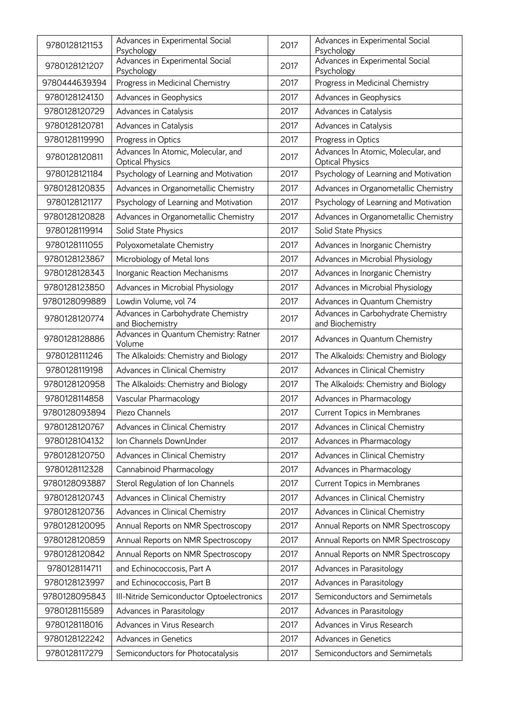| 9780128121153 | Advances in Experimental Social<br>Psychology                | 2017 | Advances in Experimental Social<br>Psychology                |
|---------------|--------------------------------------------------------------|------|--------------------------------------------------------------|
| 9780128121207 | Advances in Experimental Social<br>Psychology                | 2017 | Advances in Experimental Social<br>Psychology                |
| 9780444639394 | Progress in Medicinal Chemistry                              | 2017 | Progress in Medicinal Chemistry                              |
| 9780128124130 | Advances in Geophysics                                       | 2017 | Advances in Geophysics                                       |
| 9780128120729 | Advances in Catalysis                                        | 2017 | Advances in Catalysis                                        |
| 9780128120781 | Advances in Catalysis                                        | 2017 | Advances in Catalysis                                        |
| 9780128119990 | Progress in Optics                                           | 2017 | Progress in Optics                                           |
| 9780128120811 | Advances In Atomic, Molecular, and<br><b>Optical Physics</b> | 2017 | Advances In Atomic, Molecular, and<br><b>Optical Physics</b> |
| 9780128121184 | Psychology of Learning and Motivation                        | 2017 | Psychology of Learning and Motivation                        |
| 9780128120835 | Advances in Organometallic Chemistry                         | 2017 | Advances in Organometallic Chemistry                         |
| 9780128121177 | Psychology of Learning and Motivation                        | 2017 | Psychology of Learning and Motivation                        |
| 9780128120828 | Advances in Organometallic Chemistry                         | 2017 | Advances in Organometallic Chemistry                         |
| 9780128119914 | Solid State Physics                                          | 2017 | Solid State Physics                                          |
| 9780128111055 | Polyoxometalate Chemistry                                    | 2017 | Advances in Inorganic Chemistry                              |
| 9780128123867 | Microbiology of Metal Ions                                   | 2017 | Advances in Microbial Physiology                             |
| 9780128128343 | Inorganic Reaction Mechanisms                                | 2017 | Advances in Inorganic Chemistry                              |
| 9780128123850 | Advances in Microbial Physiology                             | 2017 | Advances in Microbial Physiology                             |
| 9780128099889 | Lowdin Volume, vol 74                                        | 2017 | Advances in Quantum Chemistry                                |
| 9780128120774 | Advances in Carbohydrate Chemistry<br>and Biochemistry       | 2017 | Advances in Carbohydrate Chemistry<br>and Biochemistry       |
| 9780128128886 | Advances in Quantum Chemistry: Ratner<br>Volume              | 2017 | Advances in Quantum Chemistry                                |
| 9780128111246 | The Alkaloids: Chemistry and Biology                         | 2017 | The Alkaloids: Chemistry and Biology                         |
| 9780128119198 | Advances in Clinical Chemistry                               | 2017 | Advances in Clinical Chemistry                               |
| 9780128120958 | The Alkaloids: Chemistry and Biology                         | 2017 | The Alkaloids: Chemistry and Biology                         |
| 9780128114858 | Vascular Pharmacology                                        | 2017 | Advances in Pharmacology                                     |
| 9780128093894 | Piezo Channels                                               | 2017 | <b>Current Topics in Membranes</b>                           |
| 9780128120767 | Advances in Clinical Chemistry                               | 2017 | Advances in Clinical Chemistry                               |
| 9780128104132 | Ion Channels DownUnder                                       | 2017 | Advances in Pharmacology                                     |
| 9780128120750 | Advances in Clinical Chemistry                               | 2017 | Advances in Clinical Chemistry                               |
| 9780128112328 | Cannabinoid Pharmacology                                     | 2017 | Advances in Pharmacology                                     |
| 9780128093887 | Sterol Regulation of Ion Channels                            | 2017 | <b>Current Topics in Membranes</b>                           |
| 9780128120743 | Advances in Clinical Chemistry                               | 2017 | Advances in Clinical Chemistry                               |
| 9780128120736 | Advances in Clinical Chemistry                               | 2017 | Advances in Clinical Chemistry                               |
| 9780128120095 | Annual Reports on NMR Spectroscopy                           | 2017 | Annual Reports on NMR Spectroscopy                           |
| 9780128120859 | Annual Reports on NMR Spectroscopy                           | 2017 | Annual Reports on NMR Spectroscopy                           |
| 9780128120842 | Annual Reports on NMR Spectroscopy                           | 2017 | Annual Reports on NMR Spectroscopy                           |
| 9780128114711 | and Echinococcosis, Part A                                   | 2017 | Advances in Parasitology                                     |
| 9780128123997 | and Echinococcosis, Part B                                   | 2017 | Advances in Parasitology                                     |
| 9780128095843 | III-Nitride Semiconductor Optoelectronics                    | 2017 | Semiconductors and Semimetals                                |
| 9780128115589 | Advances in Parasitology                                     | 2017 | Advances in Parasitology                                     |
| 9780128118016 | Advances in Virus Research                                   | 2017 | Advances in Virus Research                                   |
| 9780128122242 | Advances in Genetics                                         | 2017 | Advances in Genetics                                         |
| 9780128117279 | Semiconductors for Photocatalysis                            | 2017 | Semiconductors and Semimetals                                |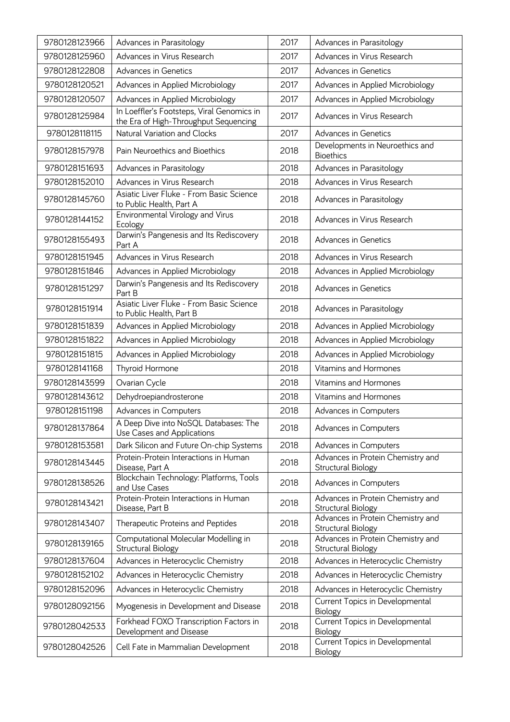| 9780128123966 | Advances in Parasitology                                                            | 2017 | Advances in Parasitology                                |
|---------------|-------------------------------------------------------------------------------------|------|---------------------------------------------------------|
| 9780128125960 | Advances in Virus Research                                                          | 2017 | Advances in Virus Research                              |
| 9780128122808 | <b>Advances in Genetics</b>                                                         | 2017 | <b>Advances in Genetics</b>                             |
| 9780128120521 | Advances in Applied Microbiology                                                    | 2017 | Advances in Applied Microbiology                        |
| 9780128120507 | Advances in Applied Microbiology                                                    | 2017 | Advances in Applied Microbiology                        |
| 9780128125984 | In Loeffler's Footsteps, Viral Genomics in<br>the Era of High-Throughput Sequencing | 2017 | Advances in Virus Research                              |
| 9780128118115 | Natural Variation and Clocks                                                        | 2017 | <b>Advances in Genetics</b>                             |
| 9780128157978 | Pain Neuroethics and Bioethics                                                      | 2018 | Developments in Neuroethics and<br><b>Bioethics</b>     |
| 9780128151693 | Advances in Parasitology                                                            | 2018 | Advances in Parasitology                                |
| 9780128152010 | Advances in Virus Research                                                          | 2018 | Advances in Virus Research                              |
| 9780128145760 | Asiatic Liver Fluke - From Basic Science<br>to Public Health, Part A                | 2018 | Advances in Parasitology                                |
| 9780128144152 | Environmental Virology and Virus<br>Ecology                                         | 2018 | Advances in Virus Research                              |
| 9780128155493 | Darwin's Pangenesis and Its Rediscovery<br>Part A                                   | 2018 | <b>Advances in Genetics</b>                             |
| 9780128151945 | Advances in Virus Research                                                          | 2018 | Advances in Virus Research                              |
| 9780128151846 | Advances in Applied Microbiology                                                    | 2018 | Advances in Applied Microbiology                        |
| 9780128151297 | Darwin's Pangenesis and Its Rediscovery<br>Part B                                   | 2018 | <b>Advances in Genetics</b>                             |
| 9780128151914 | Asiatic Liver Fluke - From Basic Science<br>to Public Health, Part B                | 2018 | Advances in Parasitology                                |
| 9780128151839 | Advances in Applied Microbiology                                                    | 2018 | Advances in Applied Microbiology                        |
| 9780128151822 | Advances in Applied Microbiology                                                    | 2018 | Advances in Applied Microbiology                        |
| 9780128151815 | Advances in Applied Microbiology                                                    | 2018 | Advances in Applied Microbiology                        |
| 9780128141168 | Thyroid Hormone                                                                     | 2018 | Vitamins and Hormones                                   |
| 9780128143599 | Ovarian Cycle                                                                       | 2018 | Vitamins and Hormones                                   |
| 9780128143612 | Dehydroepiandrosterone                                                              | 2018 | Vitamins and Hormones                                   |
| 9780128151198 | Advances in Computers                                                               | 2018 | Advances in Computers                                   |
| 9780128137864 | A Deep Dive into NoSQL Databases: The<br>Use Cases and Applications                 | 2018 | Advances in Computers                                   |
| 9780128153581 | Dark Silicon and Future On-chip Systems                                             | 2018 | Advances in Computers                                   |
| 9780128143445 | Protein-Protein Interactions in Human<br>Disease, Part A                            | 2018 | Advances in Protein Chemistry and<br>Structural Biology |
| 9780128138526 | Blockchain Technology: Platforms, Tools<br>and Use Cases                            | 2018 | Advances in Computers                                   |
| 9780128143421 | Protein-Protein Interactions in Human<br>Disease, Part B                            | 2018 | Advances in Protein Chemistry and<br>Structural Biology |
| 9780128143407 | Therapeutic Proteins and Peptides                                                   | 2018 | Advances in Protein Chemistry and<br>Structural Biology |
| 9780128139165 | Computational Molecular Modelling in<br>Structural Biology                          | 2018 | Advances in Protein Chemistry and<br>Structural Biology |
| 9780128137604 | Advances in Heterocyclic Chemistry                                                  | 2018 | Advances in Heterocyclic Chemistry                      |
| 9780128152102 | Advances in Heterocyclic Chemistry                                                  | 2018 | Advances in Heterocyclic Chemistry                      |
| 9780128152096 | Advances in Heterocyclic Chemistry                                                  | 2018 | Advances in Heterocyclic Chemistry                      |
| 9780128092156 | Myogenesis in Development and Disease                                               | 2018 | Current Topics in Developmental<br>Biology              |
| 9780128042533 | Forkhead FOXO Transcription Factors in<br>Development and Disease                   | 2018 | Current Topics in Developmental<br><b>Biology</b>       |
| 9780128042526 | Cell Fate in Mammalian Development                                                  | 2018 | Current Topics in Developmental<br><b>Biology</b>       |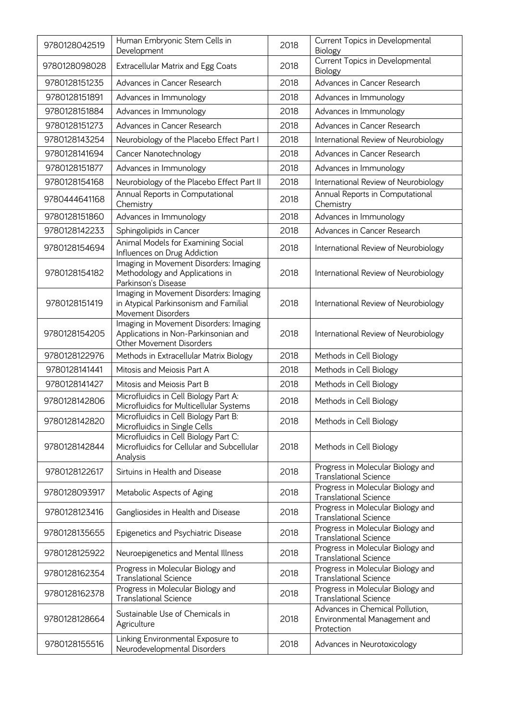| 9780128042519 | Human Embryonic Stem Cells in<br>Development                                                               | 2018 | Current Topics in Developmental<br>Biology                                    |
|---------------|------------------------------------------------------------------------------------------------------------|------|-------------------------------------------------------------------------------|
| 9780128098028 | Extracellular Matrix and Egg Coats                                                                         | 2018 | Current Topics in Developmental<br>Biology                                    |
| 9780128151235 | Advances in Cancer Research                                                                                | 2018 | Advances in Cancer Research                                                   |
| 9780128151891 | Advances in Immunology                                                                                     | 2018 | Advances in Immunology                                                        |
| 9780128151884 | Advances in Immunology                                                                                     | 2018 | Advances in Immunology                                                        |
| 9780128151273 | Advances in Cancer Research                                                                                | 2018 | Advances in Cancer Research                                                   |
| 9780128143254 | Neurobiology of the Placebo Effect Part I                                                                  | 2018 | International Review of Neurobiology                                          |
| 9780128141694 | Cancer Nanotechnology                                                                                      | 2018 | Advances in Cancer Research                                                   |
| 9780128151877 | Advances in Immunology                                                                                     | 2018 | Advances in Immunology                                                        |
| 9780128154168 | Neurobiology of the Placebo Effect Part II                                                                 | 2018 | International Review of Neurobiology                                          |
| 9780444641168 | Annual Reports in Computational<br>Chemistry                                                               | 2018 | Annual Reports in Computational<br>Chemistry                                  |
| 9780128151860 | Advances in Immunology                                                                                     | 2018 | Advances in Immunology                                                        |
| 9780128142233 | Sphingolipids in Cancer                                                                                    | 2018 | Advances in Cancer Research                                                   |
| 9780128154694 | Animal Models for Examining Social<br>Influences on Drug Addiction                                         | 2018 | International Review of Neurobiology                                          |
| 9780128154182 | Imaging in Movement Disorders: Imaging<br>Methodology and Applications in<br>Parkinson's Disease           | 2018 | International Review of Neurobiology                                          |
| 9780128151419 | Imaging in Movement Disorders: Imaging<br>in Atypical Parkinsonism and Familial<br>Movement Disorders      | 2018 | International Review of Neurobiology                                          |
| 9780128154205 | Imaging in Movement Disorders: Imaging<br>Applications in Non-Parkinsonian and<br>Other Movement Disorders | 2018 | International Review of Neurobiology                                          |
| 9780128122976 | Methods in Extracellular Matrix Biology                                                                    | 2018 | Methods in Cell Biology                                                       |
| 9780128141441 | Mitosis and Meiosis Part A                                                                                 | 2018 | Methods in Cell Biology                                                       |
| 9780128141427 | Mitosis and Meiosis Part B                                                                                 | 2018 | Methods in Cell Biology                                                       |
| 9780128142806 | Microfluidics in Cell Biology Part A:<br>Microfluidics for Multicellular Systems                           | 2018 | Methods in Cell Biology                                                       |
| 9780128142820 | Microfluidics in Cell Biology Part B:<br>Microfluidics in Single Cells                                     | 2018 | Methods in Cell Biology                                                       |
| 9780128142844 | Microfluidics in Cell Biology Part C:<br>Microfluidics for Cellular and Subcellular<br>Analysis            | 2018 | Methods in Cell Biology                                                       |
| 9780128122617 | Sirtuins in Health and Disease                                                                             | 2018 | Progress in Molecular Biology and<br><b>Translational Science</b>             |
| 9780128093917 | Metabolic Aspects of Aging                                                                                 | 2018 | Progress in Molecular Biology and<br><b>Translational Science</b>             |
| 9780128123416 | Gangliosides in Health and Disease                                                                         | 2018 | Progress in Molecular Biology and<br><b>Translational Science</b>             |
| 9780128135655 | Epigenetics and Psychiatric Disease                                                                        | 2018 | Progress in Molecular Biology and<br><b>Translational Science</b>             |
| 9780128125922 | Neuroepigenetics and Mental Illness                                                                        | 2018 | Progress in Molecular Biology and<br><b>Translational Science</b>             |
| 9780128162354 | Progress in Molecular Biology and<br><b>Translational Science</b>                                          | 2018 | Progress in Molecular Biology and<br><b>Translational Science</b>             |
| 9780128162378 | Progress in Molecular Biology and<br><b>Translational Science</b>                                          | 2018 | Progress in Molecular Biology and<br><b>Translational Science</b>             |
| 9780128128664 | Sustainable Use of Chemicals in<br>Agriculture                                                             | 2018 | Advances in Chemical Pollution,<br>Environmental Management and<br>Protection |
| 9780128155516 | Linking Environmental Exposure to<br>Neurodevelopmental Disorders                                          | 2018 | Advances in Neurotoxicology                                                   |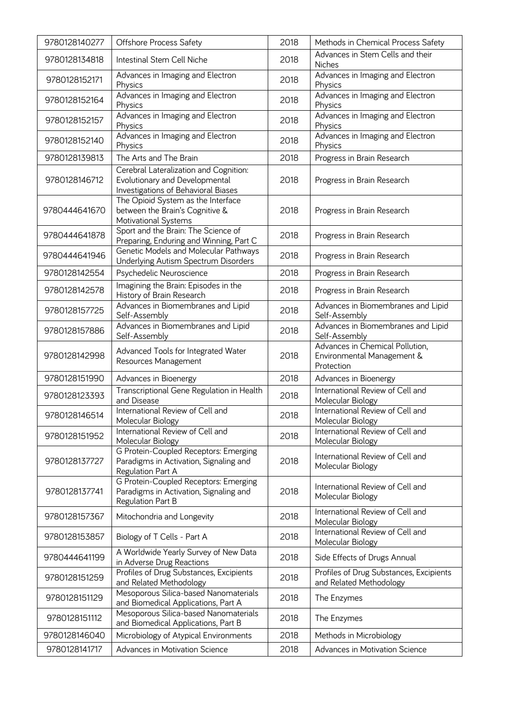| 9780128140277 | <b>Offshore Process Safety</b>                                                                                  | 2018 | Methods in Chemical Process Safety                                          |
|---------------|-----------------------------------------------------------------------------------------------------------------|------|-----------------------------------------------------------------------------|
| 9780128134818 | Intestinal Stem Cell Niche                                                                                      | 2018 | Advances in Stem Cells and their<br><b>Niches</b>                           |
| 9780128152171 | Advances in Imaging and Electron<br>Physics                                                                     | 2018 | Advances in Imaging and Electron<br>Physics                                 |
| 9780128152164 | Advances in Imaging and Electron<br>Physics                                                                     | 2018 | Advances in Imaging and Electron<br>Physics                                 |
| 9780128152157 | Advances in Imaging and Electron<br>Physics                                                                     | 2018 | Advances in Imaging and Electron<br>Physics                                 |
| 9780128152140 | Advances in Imaging and Electron<br>Physics                                                                     | 2018 | Advances in Imaging and Electron<br>Physics                                 |
| 9780128139813 | The Arts and The Brain                                                                                          | 2018 | Progress in Brain Research                                                  |
| 9780128146712 | Cerebral Lateralization and Cognition:<br>Evolutionary and Developmental<br>Investigations of Behavioral Biases | 2018 | Progress in Brain Research                                                  |
| 9780444641670 | The Opioid System as the Interface<br>between the Brain's Cognitive &<br>Motivational Systems                   | 2018 | Progress in Brain Research                                                  |
| 9780444641878 | Sport and the Brain: The Science of<br>Preparing, Enduring and Winning, Part C                                  | 2018 | Progress in Brain Research                                                  |
| 9780444641946 | Genetic Models and Molecular Pathways<br>Underlying Autism Spectrum Disorders                                   | 2018 | Progress in Brain Research                                                  |
| 9780128142554 | Psychedelic Neuroscience                                                                                        | 2018 | Progress in Brain Research                                                  |
| 9780128142578 | Imagining the Brain: Episodes in the<br>History of Brain Research                                               | 2018 | Progress in Brain Research                                                  |
| 9780128157725 | Advances in Biomembranes and Lipid<br>Self-Assembly                                                             | 2018 | Advances in Biomembranes and Lipid<br>Self-Assembly                         |
| 9780128157886 | Advances in Biomembranes and Lipid<br>Self-Assembly                                                             | 2018 | Advances in Biomembranes and Lipid<br>Self-Assembly                         |
| 9780128142998 | Advanced Tools for Integrated Water<br>Resources Management                                                     | 2018 | Advances in Chemical Pollution,<br>Environmental Management &<br>Protection |
| 9780128151990 | Advances in Bioenergy                                                                                           | 2018 | Advances in Bioenergy                                                       |
| 9780128123393 | Transcriptional Gene Regulation in Health<br>and Disease                                                        | 2018 | International Review of Cell and<br>Molecular Biology                       |
| 9780128146514 | International Review of Cell and<br>Molecular Biology                                                           | 2018 | International Review of Cell and<br>Molecular Biology                       |
| 9780128151952 | International Review of Cell and<br>Molecular Biology                                                           | 2018 | International Review of Cell and<br>Molecular Biology                       |
| 9780128137727 | G Protein-Coupled Receptors: Emerging<br>Paradigms in Activation, Signaling and<br>Regulation Part A            | 2018 | International Review of Cell and<br>Molecular Biology                       |
| 9780128137741 | G Protein-Coupled Receptors: Emerging<br>Paradigms in Activation, Signaling and<br>Regulation Part B            | 2018 | International Review of Cell and<br>Molecular Biology                       |
| 9780128157367 | Mitochondria and Longevity                                                                                      | 2018 | International Review of Cell and<br>Molecular Biology                       |
| 9780128153857 | Biology of T Cells - Part A                                                                                     | 2018 | International Review of Cell and<br>Molecular Biology                       |
| 9780444641199 | A Worldwide Yearly Survey of New Data<br>in Adverse Drug Reactions                                              | 2018 | Side Effects of Drugs Annual                                                |
| 9780128151259 | Profiles of Drug Substances, Excipients<br>and Related Methodology                                              | 2018 | Profiles of Drug Substances, Excipients<br>and Related Methodology          |
| 9780128151129 | Mesoporous Silica-based Nanomaterials<br>and Biomedical Applications, Part A                                    | 2018 | The Enzymes                                                                 |
| 9780128151112 | Mesoporous Silica-based Nanomaterials<br>and Biomedical Applications, Part B                                    | 2018 | The Enzymes                                                                 |
| 9780128146040 | Microbiology of Atypical Environments                                                                           | 2018 | Methods in Microbiology                                                     |
| 9780128141717 | Advances in Motivation Science                                                                                  | 2018 | Advances in Motivation Science                                              |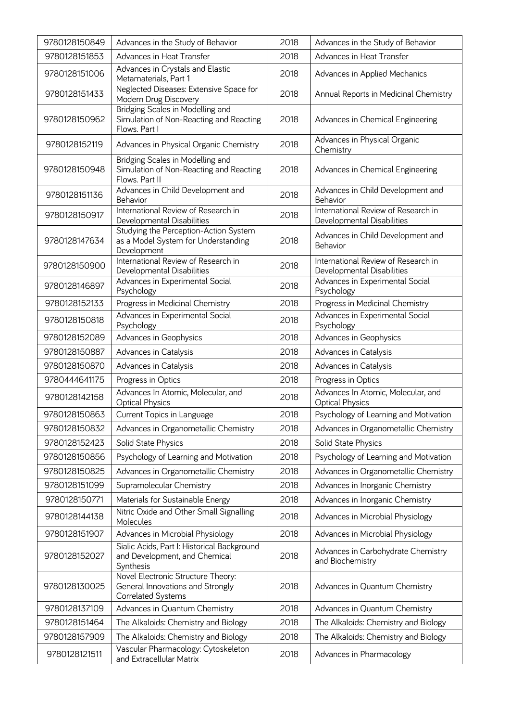| 9780128150849 | Advances in the Study of Behavior                                                             | 2018 | Advances in the Study of Behavior                                 |
|---------------|-----------------------------------------------------------------------------------------------|------|-------------------------------------------------------------------|
| 9780128151853 | Advances in Heat Transfer                                                                     | 2018 | Advances in Heat Transfer                                         |
| 9780128151006 | Advances in Crystals and Elastic<br>Metamaterials, Part 1                                     | 2018 | Advances in Applied Mechanics                                     |
| 9780128151433 | Neglected Diseases: Extensive Space for<br>Modern Drug Discovery                              | 2018 | Annual Reports in Medicinal Chemistry                             |
| 9780128150962 | Bridging Scales in Modelling and<br>Simulation of Non-Reacting and Reacting<br>Flows. Part I  | 2018 | Advances in Chemical Engineering                                  |
| 9780128152119 | Advances in Physical Organic Chemistry                                                        | 2018 | Advances in Physical Organic<br>Chemistry                         |
| 9780128150948 | Bridging Scales in Modelling and<br>Simulation of Non-Reacting and Reacting<br>Flows. Part II | 2018 | Advances in Chemical Engineering                                  |
| 9780128151136 | Advances in Child Development and<br>Behavior                                                 | 2018 | Advances in Child Development and<br>Behavior                     |
| 9780128150917 | International Review of Research in<br>Developmental Disabilities                             | 2018 | International Review of Research in<br>Developmental Disabilities |
| 9780128147634 | Studying the Perception-Action System<br>as a Model System for Understanding<br>Development   | 2018 | Advances in Child Development and<br>Behavior                     |
| 9780128150900 | International Review of Research in<br>Developmental Disabilities                             | 2018 | International Review of Research in<br>Developmental Disabilities |
| 9780128146897 | Advances in Experimental Social<br>Psychology                                                 | 2018 | Advances in Experimental Social<br>Psychology                     |
| 9780128152133 | Progress in Medicinal Chemistry                                                               | 2018 | Progress in Medicinal Chemistry                                   |
| 9780128150818 | Advances in Experimental Social<br>Psychology                                                 | 2018 | Advances in Experimental Social<br>Psychology                     |
| 9780128152089 | Advances in Geophysics                                                                        | 2018 | Advances in Geophysics                                            |
| 9780128150887 | Advances in Catalysis                                                                         | 2018 | Advances in Catalysis                                             |
| 9780128150870 | Advances in Catalysis                                                                         | 2018 | Advances in Catalysis                                             |
| 9780444641175 | Progress in Optics                                                                            | 2018 | Progress in Optics                                                |
| 9780128142158 | Advances In Atomic, Molecular, and<br><b>Optical Physics</b>                                  | 2018 | Advances In Atomic, Molecular, and<br><b>Optical Physics</b>      |
| 9780128150863 | Current Topics in Language                                                                    | 2018 | Psychology of Learning and Motivation                             |
| 9780128150832 | Advances in Organometallic Chemistry                                                          | 2018 | Advances in Organometallic Chemistry                              |
| 9780128152423 | Solid State Physics                                                                           | 2018 | Solid State Physics                                               |
| 9780128150856 | Psychology of Learning and Motivation                                                         | 2018 | Psychology of Learning and Motivation                             |
| 9780128150825 | Advances in Organometallic Chemistry                                                          | 2018 | Advances in Organometallic Chemistry                              |
| 9780128151099 | Supramolecular Chemistry                                                                      | 2018 | Advances in Inorganic Chemistry                                   |
| 9780128150771 | Materials for Sustainable Energy                                                              | 2018 | Advances in Inorganic Chemistry                                   |
| 9780128144138 | Nitric Oxide and Other Small Signalling<br>Molecules                                          | 2018 | Advances in Microbial Physiology                                  |
| 9780128151907 | Advances in Microbial Physiology                                                              | 2018 | Advances in Microbial Physiology                                  |
| 9780128152027 | Sialic Acids, Part I: Historical Background<br>and Development, and Chemical<br>Synthesis     | 2018 | Advances in Carbohydrate Chemistry<br>and Biochemistry            |
| 9780128130025 | Novel Electronic Structure Theory:<br>General Innovations and Strongly<br>Correlated Systems  | 2018 | Advances in Quantum Chemistry                                     |
| 9780128137109 | Advances in Quantum Chemistry                                                                 | 2018 | Advances in Quantum Chemistry                                     |
| 9780128151464 | The Alkaloids: Chemistry and Biology                                                          | 2018 | The Alkaloids: Chemistry and Biology                              |
| 9780128157909 | The Alkaloids: Chemistry and Biology                                                          | 2018 | The Alkaloids: Chemistry and Biology                              |
| 9780128121511 | Vascular Pharmacology: Cytoskeleton<br>and Extracellular Matrix                               | 2018 | Advances in Pharmacology                                          |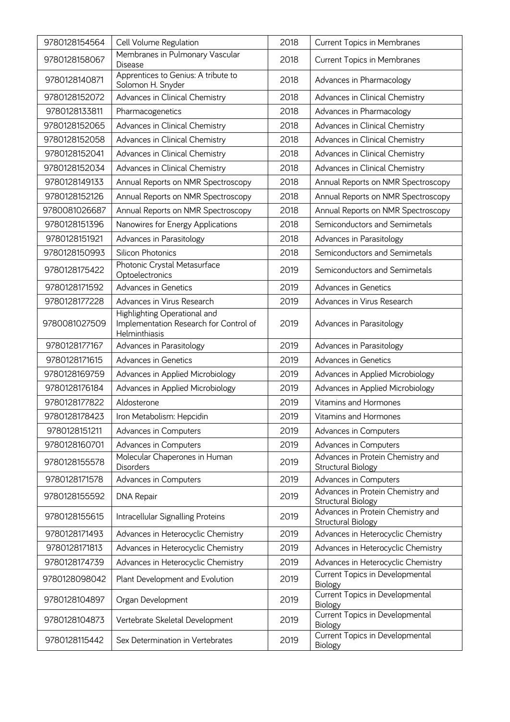| 9780128154564 | Cell Volume Regulation                                                                  | 2018 | <b>Current Topics in Membranes</b>                      |
|---------------|-----------------------------------------------------------------------------------------|------|---------------------------------------------------------|
| 9780128158067 | Membranes in Pulmonary Vascular<br><b>Disease</b>                                       | 2018 | <b>Current Topics in Membranes</b>                      |
| 9780128140871 | Apprentices to Genius: A tribute to<br>Solomon H. Snyder                                | 2018 | Advances in Pharmacology                                |
| 9780128152072 | Advances in Clinical Chemistry                                                          | 2018 | Advances in Clinical Chemistry                          |
| 9780128133811 | Pharmacogenetics                                                                        | 2018 | Advances in Pharmacology                                |
| 9780128152065 | Advances in Clinical Chemistry                                                          | 2018 | Advances in Clinical Chemistry                          |
| 9780128152058 | Advances in Clinical Chemistry                                                          | 2018 | Advances in Clinical Chemistry                          |
| 9780128152041 | Advances in Clinical Chemistry                                                          | 2018 | Advances in Clinical Chemistry                          |
| 9780128152034 | Advances in Clinical Chemistry                                                          | 2018 | Advances in Clinical Chemistry                          |
| 9780128149133 | Annual Reports on NMR Spectroscopy                                                      | 2018 | Annual Reports on NMR Spectroscopy                      |
| 9780128152126 | Annual Reports on NMR Spectroscopy                                                      | 2018 | Annual Reports on NMR Spectroscopy                      |
| 9780081026687 | Annual Reports on NMR Spectroscopy                                                      | 2018 | Annual Reports on NMR Spectroscopy                      |
| 9780128151396 | Nanowires for Energy Applications                                                       | 2018 | Semiconductors and Semimetals                           |
| 9780128151921 | Advances in Parasitology                                                                | 2018 | Advances in Parasitology                                |
| 9780128150993 | <b>Silicon Photonics</b>                                                                | 2018 | Semiconductors and Semimetals                           |
| 9780128175422 | Photonic Crystal Metasurface<br>Optoelectronics                                         | 2019 | Semiconductors and Semimetals                           |
| 9780128171592 | Advances in Genetics                                                                    | 2019 | <b>Advances in Genetics</b>                             |
| 9780128177228 | Advances in Virus Research                                                              | 2019 | Advances in Virus Research                              |
| 9780081027509 | Highlighting Operational and<br>Implementation Research for Control of<br>Helminthiasis | 2019 | Advances in Parasitology                                |
| 9780128177167 | Advances in Parasitology                                                                | 2019 | Advances in Parasitology                                |
| 9780128171615 | <b>Advances in Genetics</b>                                                             | 2019 | <b>Advances in Genetics</b>                             |
| 9780128169759 | Advances in Applied Microbiology                                                        | 2019 | Advances in Applied Microbiology                        |
| 9780128176184 | Advances in Applied Microbiology                                                        | 2019 | Advances in Applied Microbiology                        |
| 9780128177822 | Aldosterone                                                                             | 2019 | Vitamins and Hormones                                   |
| 9780128178423 | Iron Metabolism: Hepcidin                                                               | 2019 | Vitamins and Hormones                                   |
| 9780128151211 | Advances in Computers                                                                   | 2019 | Advances in Computers                                   |
| 9780128160701 | Advances in Computers                                                                   | 2019 | Advances in Computers                                   |
| 9780128155578 | Molecular Chaperones in Human<br>Disorders                                              | 2019 | Advances in Protein Chemistry and<br>Structural Biology |
| 9780128171578 | Advances in Computers                                                                   | 2019 | Advances in Computers                                   |
| 9780128155592 | <b>DNA Repair</b>                                                                       | 2019 | Advances in Protein Chemistry and<br>Structural Biology |
| 9780128155615 | Intracellular Signalling Proteins                                                       | 2019 | Advances in Protein Chemistry and<br>Structural Biology |
| 9780128171493 | Advances in Heterocyclic Chemistry                                                      | 2019 | Advances in Heterocyclic Chemistry                      |
| 9780128171813 | Advances in Heterocyclic Chemistry                                                      | 2019 | Advances in Heterocyclic Chemistry                      |
| 9780128174739 | Advances in Heterocyclic Chemistry                                                      | 2019 | Advances in Heterocyclic Chemistry                      |
| 9780128098042 | Plant Development and Evolution                                                         | 2019 | Current Topics in Developmental<br>Biology              |
| 9780128104897 | Organ Development                                                                       | 2019 | Current Topics in Developmental<br>Biology              |
| 9780128104873 | Vertebrate Skeletal Development                                                         | 2019 | Current Topics in Developmental<br><b>Biology</b>       |
| 9780128115442 | Sex Determination in Vertebrates                                                        | 2019 | Current Topics in Developmental<br>Biology              |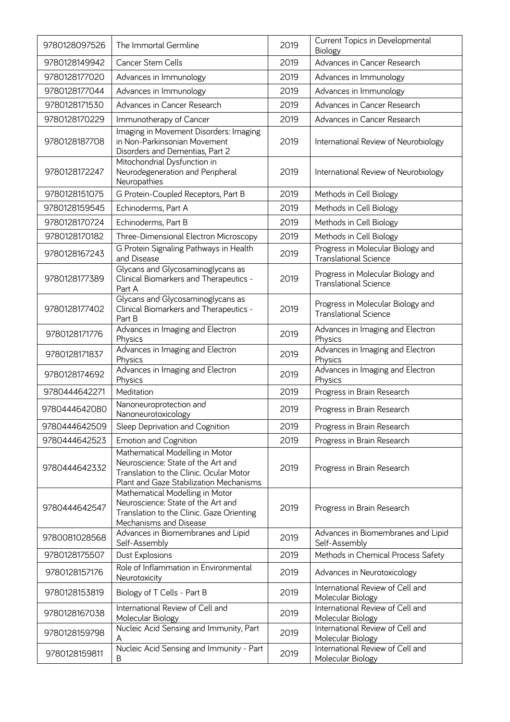| 9780128097526 | The Immortal Germline                                                                                                                                       | 2019 | Current Topics in Developmental<br><b>Biology</b>                 |
|---------------|-------------------------------------------------------------------------------------------------------------------------------------------------------------|------|-------------------------------------------------------------------|
| 9780128149942 | Cancer Stem Cells                                                                                                                                           | 2019 | Advances in Cancer Research                                       |
| 9780128177020 | Advances in Immunology                                                                                                                                      | 2019 | Advances in Immunology                                            |
| 9780128177044 | Advances in Immunology                                                                                                                                      | 2019 | Advances in Immunology                                            |
| 9780128171530 | Advances in Cancer Research                                                                                                                                 | 2019 | Advances in Cancer Research                                       |
| 9780128170229 | Immunotherapy of Cancer                                                                                                                                     | 2019 | Advances in Cancer Research                                       |
| 9780128187708 | Imaging in Movement Disorders: Imaging<br>in Non-Parkinsonian Movement<br>Disorders and Dementias, Part 2                                                   | 2019 | International Review of Neurobiology                              |
| 9780128172247 | Mitochondrial Dysfunction in<br>Neurodegeneration and Peripheral<br>Neuropathies                                                                            | 2019 | International Review of Neurobiology                              |
| 9780128151075 | G Protein-Coupled Receptors, Part B                                                                                                                         | 2019 | Methods in Cell Biology                                           |
| 9780128159545 | Echinoderms, Part A                                                                                                                                         | 2019 | Methods in Cell Biology                                           |
| 9780128170724 | Echinoderms, Part B                                                                                                                                         | 2019 | Methods in Cell Biology                                           |
| 9780128170182 | Three-Dimensional Electron Microscopy                                                                                                                       | 2019 | Methods in Cell Biology                                           |
| 9780128167243 | G Protein Signaling Pathways in Health<br>and Disease                                                                                                       | 2019 | Progress in Molecular Biology and<br><b>Translational Science</b> |
| 9780128177389 | Glycans and Glycosaminoglycans as<br>Clinical Biomarkers and Therapeutics -<br>Part A                                                                       | 2019 | Progress in Molecular Biology and<br><b>Translational Science</b> |
| 9780128177402 | Glycans and Glycosaminoglycans as<br>Clinical Biomarkers and Therapeutics -<br>Part B                                                                       | 2019 | Progress in Molecular Biology and<br><b>Translational Science</b> |
| 9780128171776 | Advances in Imaging and Electron<br>Physics                                                                                                                 | 2019 | Advances in Imaging and Electron<br>Physics                       |
| 9780128171837 | Advances in Imaging and Electron<br>Physics                                                                                                                 | 2019 | Advances in Imaging and Electron<br>Physics                       |
| 9780128174692 | Advances in Imaging and Electron<br>Physics                                                                                                                 | 2019 | Advances in Imaging and Electron<br>Physics                       |
| 9780444642271 | Meditation                                                                                                                                                  | 2019 | Progress in Brain Research                                        |
| 9780444642080 | Nanoneuroprotection and<br>Nanoneurotoxicology                                                                                                              | 2019 | Progress in Brain Research                                        |
| 9780444642509 | Sleep Deprivation and Cognition                                                                                                                             | 2019 | Progress in Brain Research                                        |
| 9780444642523 | <b>Emotion and Cognition</b>                                                                                                                                | 2019 | Progress in Brain Research                                        |
| 9780444642332 | Mathematical Modelling in Motor<br>Neuroscience: State of the Art and<br>Translation to the Clinic. Ocular Motor<br>Plant and Gaze Stabilization Mechanisms | 2019 | Progress in Brain Research                                        |
| 9780444642547 | Mathematical Modelling in Motor<br>Neuroscience: State of the Art and<br>Translation to the Clinic. Gaze Orienting<br>Mechanisms and Disease                | 2019 | Progress in Brain Research                                        |
| 9780081028568 | Advances in Biomembranes and Lipid<br>Self-Assembly                                                                                                         | 2019 | Advances in Biomembranes and Lipid<br>Self-Assembly               |
| 9780128175507 | Dust Explosions                                                                                                                                             | 2019 | Methods in Chemical Process Safety                                |
| 9780128157176 | Role of Inflammation in Environmental<br>Neurotoxicity                                                                                                      | 2019 | Advances in Neurotoxicology                                       |
| 9780128153819 | Biology of T Cells - Part B                                                                                                                                 | 2019 | International Review of Cell and<br>Molecular Biology             |
| 9780128167038 | International Review of Cell and<br>Molecular Biology                                                                                                       | 2019 | International Review of Cell and<br>Molecular Biology             |
| 9780128159798 | Nucleic Acid Sensing and Immunity, Part<br>A                                                                                                                | 2019 | International Review of Cell and<br>Molecular Biology             |
| 9780128159811 | Nucleic Acid Sensing and Immunity - Part<br>B                                                                                                               | 2019 | International Review of Cell and<br>Molecular Biology             |